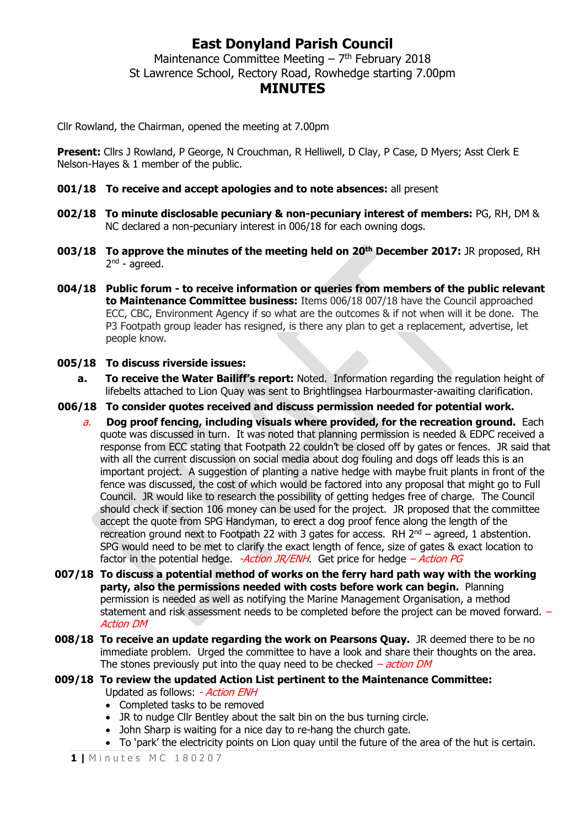## **East Donyland Parish Council**

Maintenance Committee Meeting  $-7<sup>th</sup>$  February 2018 St Lawrence School, Rectory Road, Rowhedge starting 7.00pm **MINUTES**

Cllr Rowland, the Chairman, opened the meeting at 7.00pm

**Present:** Cllrs J Rowland, P George, N Crouchman, R Helliwell, D Clay, P Case, D Myers; Asst Clerk E Nelson-Hayes & 1 member of the public.

- **001/18 To receive and accept apologies and to note absences:** all present
- **002/18 To minute disclosable pecuniary & non-pecuniary interest of members:** PG, RH, DM & NC declared a non-pecuniary interest in 006/18 for each owning dogs.
- **003/18 To approve the minutes of the meeting held on 20th December 2017:** JR proposed, RH 2<sup>nd</sup> - agreed.
- **004/18 Public forum - to receive information or queries from members of the public relevant to Maintenance Committee business:** Items 006/18 007/18 have the Council approached ECC, CBC, Environment Agency if so what are the outcomes & if not when will it be done. The P3 Footpath group leader has resigned, is there any plan to get a replacement, advertise, let people know.

#### **005/18 To discuss riverside issues:**

- **a. To receive the Water Bailiff's report:** Noted. Information regarding the regulation height of lifebelts attached to Lion Quay was sent to Brightlingsea Harbourmaster-awaiting clarification.
- **006/18 To consider quotes received and discuss permission needed for potential work.**
	- a. **Dog proof fencing, including visuals where provided, for the recreation ground.** Each quote was discussed in turn. It was noted that planning permission is needed & EDPC received a response from ECC stating that Footpath 22 couldn't be closed off by gates or fences. JR said that with all the current discussion on social media about dog fouling and dogs off leads this is an important project. A suggestion of planting a native hedge with maybe fruit plants in front of the fence was discussed, the cost of which would be factored into any proposal that might go to Full Council. JR would like to research the possibility of getting hedges free of charge. The Council should check if section 106 money can be used for the project. JR proposed that the committee accept the quote from SPG Handyman, to erect a dog proof fence along the length of the recreation ground next to Footpath 22 with 3 gates for access. RH  $2<sup>nd</sup>$  – agreed, 1 abstention. SPG would need to be met to clarify the exact length of fence, size of gates & exact location to factor in the potential hedge.  $-Action$  JR/ENH. Get price for hedge  $-Action$  PG
- **007/18 To discuss a potential method of works on the ferry hard path way with the working party, also the permissions needed with costs before work can begin.** Planning permission is needed as well as notifying the Marine Management Organisation, a method statement and risk assessment needs to be completed before the project can be moved forward. – Action DM
- **008/18 To receive an update regarding the work on Pearsons Quay.** JR deemed there to be no immediate problem. Urged the committee to have a look and share their thoughts on the area. The stones previously put into the quay need to be checked  $-$  *action DM*

#### **009/18 To review the updated Action List pertinent to the Maintenance Committee:** Updated as follows: - Action ENH

- Completed tasks to be removed
- JR to nudge Cllr Bentley about the salt bin on the bus turning circle.
- John Sharp is waiting for a nice day to re-hang the church gate.
- To 'park' the electricity points on Lion quay until the future of the area of the hut is certain.